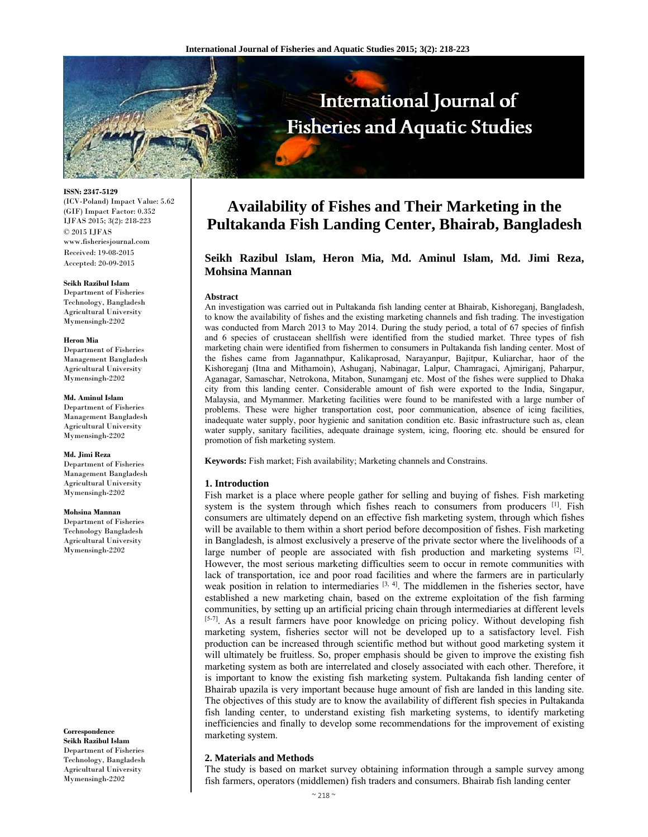

**ISSN: 2347-5129** 

(ICV-Poland) Impact Value: 5.62 (GIF) Impact Factor: 0.352 IJFAS 2015; 3(2): 218-223 © 2015 IJFAS www.fisheriesjournal.com Received: 19-08-2015 Accepted: 20-09-2015

#### **Seikh Razibul Islam**

Department of Fisheries Technology, Bangladesh Agricultural University Mymensingh-2202

#### **Heron Mia**

Department of Fisheries Management Bangladesh Agricultural University Mymensingh-2202

#### **Md. Aminul Islam**

Department of Fisheries Management Bangladesh Agricultural University Mymensingh-2202

### **Md. Jimi Reza**

Department of Fisheries Management Bangladesh Agricultural University Mymensingh-2202

#### **Mohsina Mannan**

Department of Fisheries Technology Bangladesh Agricultural University Mymensingh-2202

**Correspondence Seikh Razibul Islam**  Department of Fisheries Technology, Bangladesh Agricultural University Mymensingh-2202

# **Availability of Fishes and Their Marketing in the Pultakanda Fish Landing Center, Bhairab, Bangladesh**

# **Seikh Razibul Islam, Heron Mia, Md. Aminul Islam, Md. Jimi Reza, Mohsina Mannan**

## **Abstract**

An investigation was carried out in Pultakanda fish landing center at Bhairab, Kishoreganj, Bangladesh, to know the availability of fishes and the existing marketing channels and fish trading. The investigation was conducted from March 2013 to May 2014. During the study period, a total of 67 species of finfish and 6 species of crustacean shellfish were identified from the studied market. Three types of fish marketing chain were identified from fishermen to consumers in Pultakanda fish landing center. Most of the fishes came from Jagannathpur, Kalikaprosad, Narayanpur, Bajitpur, Kuliarchar, haor of the Kishoreganj (Itna and Mithamoin), Ashuganj, Nabinagar, Lalpur, Chamragaci, Ajmiriganj, Paharpur, Aganagar, Samaschar, Netrokona, Mitabon, Sunamganj etc. Most of the fishes were supplied to Dhaka city from this landing center. Considerable amount of fish were exported to the India, Singapur, Malaysia, and Mymanmer. Marketing facilities were found to be manifested with a large number of problems. These were higher transportation cost, poor communication, absence of icing facilities, inadequate water supply, poor hygienic and sanitation condition etc. Basic infrastructure such as, clean water supply, sanitary facilities, adequate drainage system, icing, flooring etc. should be ensured for promotion of fish marketing system.

**Keywords:** Fish market; Fish availability; Marketing channels and Constrains.

## **1. Introduction**

Fish market is a place where people gather for selling and buying of fishes. Fish marketing system is the system through which fishes reach to consumers from producers  $[1]$ . Fish consumers are ultimately depend on an effective fish marketing system, through which fishes will be available to them within a short period before decomposition of fishes. Fish marketing in Bangladesh, is almost exclusively a preserve of the private sector where the livelihoods of a large number of people are associated with fish production and marketing systems [2]. However, the most serious marketing difficulties seem to occur in remote communities with lack of transportation, ice and poor road facilities and where the farmers are in particularly weak position in relation to intermediaries [3, 4]. The middlemen in the fisheries sector, have established a new marketing chain, based on the extreme exploitation of the fish farming communities, by setting up an artificial pricing chain through intermediaries at different levels [5-7]. As a result farmers have poor knowledge on pricing policy. Without developing fish marketing system, fisheries sector will not be developed up to a satisfactory level. Fish production can be increased through scientific method but without good marketing system it will ultimately be fruitless. So, proper emphasis should be given to improve the existing fish marketing system as both are interrelated and closely associated with each other. Therefore, it is important to know the existing fish marketing system. Pultakanda fish landing center of Bhairab upazila is very important because huge amount of fish are landed in this landing site. The objectives of this study are to know the availability of different fish species in Pultakanda fish landing center, to understand existing fish marketing systems, to identify marketing inefficiencies and finally to develop some recommendations for the improvement of existing marketing system.

## **2. Materials and Methods**

The study is based on market survey obtaining information through a sample survey among fish farmers, operators (middlemen) fish traders and consumers. Bhairab fish landing center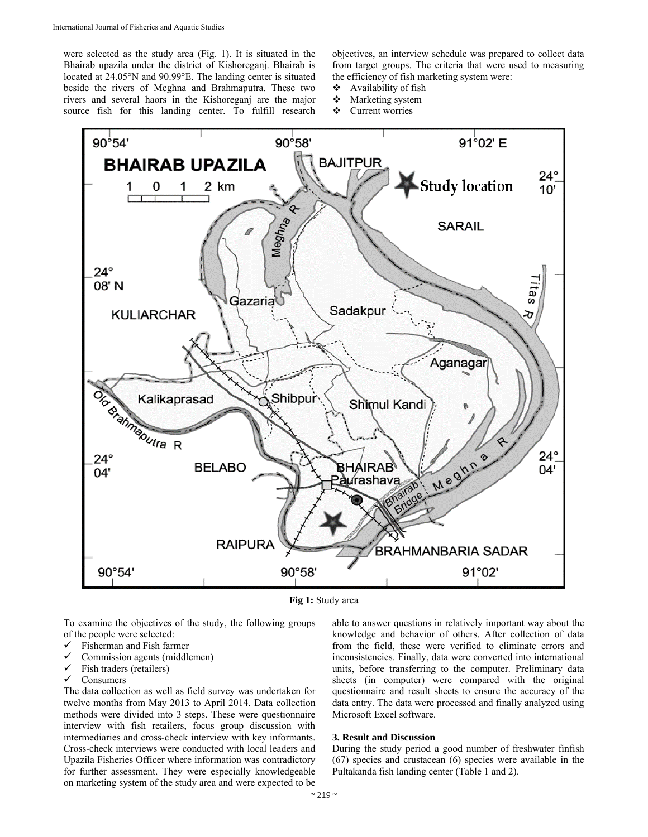were selected as the study area (Fig. 1). It is situated in the Bhairab upazila under the district of Kishoreganj. Bhairab is located at 24.05°N and 90.99°E. The landing center is situated beside the rivers of Meghna and Brahmaputra. These two rivers and several haors in the Kishoreganj are the major source fish for this landing center. To fulfill research objectives, an interview schedule was prepared to collect data from target groups. The criteria that were used to measuring the efficiency of fish marketing system were:

- Availability of fish
- Marketing system
- Current worries



**Fig 1:** Study area

To examine the objectives of the study, the following groups of the people were selected:

- $\checkmark$  Fisherman and Fish farmer
- Commission agents (middlemen)
- $\checkmark$  Fish traders (retailers)
- Consumers

The data collection as well as field survey was undertaken for twelve months from May 2013 to April 2014. Data collection methods were divided into 3 steps. These were questionnaire interview with fish retailers, focus group discussion with intermediaries and cross-check interview with key informants. Cross-check interviews were conducted with local leaders and Upazila Fisheries Officer where information was contradictory for further assessment. They were especially knowledgeable on marketing system of the study area and were expected to be

able to answer questions in relatively important way about the knowledge and behavior of others. After collection of data from the field, these were verified to eliminate errors and inconsistencies. Finally, data were converted into international units, before transferring to the computer. Preliminary data sheets (in computer) were compared with the original questionnaire and result sheets to ensure the accuracy of the data entry. The data were processed and finally analyzed using Microsoft Excel software.

## **3. Result and Discussion**

During the study period a good number of freshwater finfish (67) species and crustacean (6) species were available in the Pultakanda fish landing center (Table 1 and 2).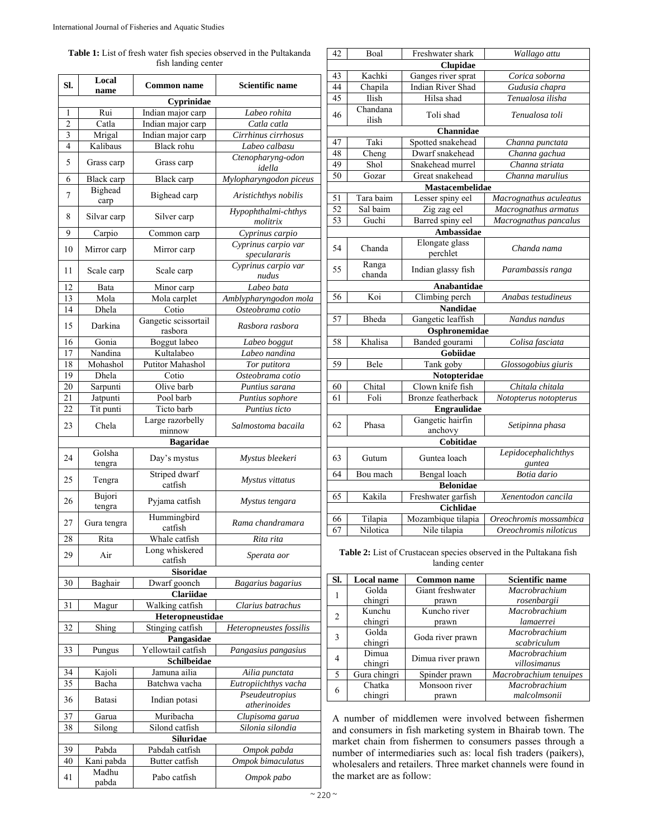**Table 1:** List of fresh water fish species observed in the Pultakanda fish landing center

| SI.                                                | Local<br>name       | <b>Common name</b>              | <b>Scientific name</b>                 |  |  |
|----------------------------------------------------|---------------------|---------------------------------|----------------------------------------|--|--|
| Cyprinidae                                         |                     |                                 |                                        |  |  |
| 1                                                  | Rui                 | Indian major carp               | Labeo rohita                           |  |  |
| $\overline{c}$                                     | Catla               | Indian major carp               | Catla catla                            |  |  |
| 3                                                  | Mrigal              | Indian major carp               | Cirrhinus cirrhosus                    |  |  |
| 4                                                  | Kalibaus            | Black rohu                      | Labeo calbasu                          |  |  |
| 5                                                  | Grass carp          | Grass carp                      | Ctenopharyng-odon<br>idella            |  |  |
| 6                                                  | <b>Black</b> carp   | Black carp                      | Mylopharyngodon piceus                 |  |  |
| 7                                                  | Bighead<br>carp     | Bighead carp                    | Aristichthys nobilis                   |  |  |
| 8                                                  | Silvar carp         | Silver carp                     | Hypophthalmi-chthys<br>molitrix        |  |  |
| 9                                                  | Carpio              | Common carp                     | Cyprinus carpio                        |  |  |
| 10                                                 | Mirror carp         | Mirror carp                     | Cyprinus carpio var<br>speculararis    |  |  |
| 11                                                 | Scale carp          | Scale carp                      | Cyprinus carpio var<br>nudus           |  |  |
| 12                                                 | Bata                | Minor carp                      | Labeo bata                             |  |  |
| 13                                                 | Mola                | Mola carplet                    | Amblypharyngodon mola                  |  |  |
| 14                                                 | Dhela               | Cotio                           | Osteobrama cotio                       |  |  |
| 15                                                 | Darkina             | Gangetic scissortail<br>rasbora | Rasbora rasbora                        |  |  |
| 16                                                 | Gonia               | Boggut labeo                    | Labeo boggut                           |  |  |
| 17                                                 | Nandina             | Kultalabeo                      | Labeo nandina                          |  |  |
| 18                                                 | Mohashol            | Putitor Mahashol                | Tor putitora                           |  |  |
| 19                                                 | Dhela               | Cotio                           | Osteobrama cotio                       |  |  |
| 20                                                 | Sarpunti            | Olive barb                      | Puntius sarana                         |  |  |
| 21                                                 | Jatpunti            | Pool barb                       | Puntius sophore                        |  |  |
| 22                                                 | Tit punti           | Ticto barb                      | Puntius ticto                          |  |  |
| 23                                                 | Chela               | Large razorbelly<br>minnow      | Salmostoma bacaila                     |  |  |
|                                                    |                     | <b>Bagaridae</b>                |                                        |  |  |
| 24                                                 | Golsha<br>tengra    | Day's mystus                    | Mystus bleekeri                        |  |  |
| 25                                                 | Tengra              | Striped dwarf<br>catfish        | Mystus vittatus                        |  |  |
| 26                                                 | Bujori<br>tengra    | Pyjama catfish                  | Mystus tengara                         |  |  |
| 27                                                 | Gura tengra         | Hummingbird<br>catfish          | Rama chandramara                       |  |  |
| 28                                                 | Rita                | Whale catfish                   | Rita rita                              |  |  |
| 29                                                 | Air                 | Long whiskered                  | Sperata aor                            |  |  |
|                                                    |                     | catfish                         |                                        |  |  |
|                                                    |                     | Sisoridae                       |                                        |  |  |
| 30                                                 | Baghair             | Dwarf goonch                    | Bagarius bagarius                      |  |  |
|                                                    |                     | <b>Clariidae</b>                |                                        |  |  |
| 31                                                 | Magur               | Walking catfish                 | Clarius batrachus                      |  |  |
|                                                    |                     | Heteropneustidae                |                                        |  |  |
| 32                                                 | Shing               | Stinging catfish<br>Pangasidae  | Heteropneustes fossilis                |  |  |
| 33                                                 | Pungus              | Yellowtail catfish              | Pangasius pangasius                    |  |  |
|                                                    |                     | Schilbeidae                     |                                        |  |  |
| 34                                                 | Kajoli              | Jamuna ailia                    | Ailia punctata                         |  |  |
| 35                                                 | Bacha               | Batchwa vacha                   | Eutropiichthys vacha<br>Pseudeutropius |  |  |
| 36                                                 | Batasi              | Indian potasi                   | atherinoides                           |  |  |
| 37                                                 | Garua               | Muribacha                       | Clupisoma garua                        |  |  |
| Silond catfish<br>Silonia silondia<br>38<br>Silong |                     |                                 |                                        |  |  |
|                                                    |                     | Siluridae                       |                                        |  |  |
| 39                                                 | Pabda               | Pabdah catfish                  | Ompok pabda                            |  |  |
| 40                                                 | Kani pabda<br>Madhu | Butter catfish                  | Ompok bimaculatus                      |  |  |
| 41                                                 | pabda               | Pabo catfish                    | Ompok pabo                             |  |  |

| 42                | Boal              | Freshwater shark            | Wallago attu                  |  |  |  |  |
|-------------------|-------------------|-----------------------------|-------------------------------|--|--|--|--|
| Clupidae          |                   |                             |                               |  |  |  |  |
| 43                | Kachki            | Ganges river sprat          | Corica soborna                |  |  |  |  |
| 44                | Chapila           | <b>Indian River Shad</b>    | Gudusia chapra                |  |  |  |  |
| 45                | Ilish             | Hilsa shad                  | Tenualosa ilisha              |  |  |  |  |
| 46                | Chandana<br>ilish | Toli shad                   | Tenualosa toli                |  |  |  |  |
|                   | Channidae         |                             |                               |  |  |  |  |
| 47                | Taki              | Spotted snakehead           | Channa punctata               |  |  |  |  |
| 48                | Cheng             | Dwarf snakehead             | Channa gachua                 |  |  |  |  |
| 49                | Shol              | Snakehead murrel            | Channa striata                |  |  |  |  |
| 50                | Gozar             | Great snakehead             | Channa marulius               |  |  |  |  |
| Mastacembelidae   |                   |                             |                               |  |  |  |  |
| 51                | Tara baim         | Lesser spiny eel            | Macrognathus aculeatus        |  |  |  |  |
| 52                | Sal baim          | Zig zag eel                 | Macrognathus armatus          |  |  |  |  |
| 53                | Guchi             | Barred spiny eel            | Macrognathus pancalus         |  |  |  |  |
| <b>Ambassidae</b> |                   |                             |                               |  |  |  |  |
| 54                | Chanda            | Elongate glass<br>perchlet  | Chanda nama                   |  |  |  |  |
| 55                | Ranga<br>chanda   | Indian glassy fish          | Parambassis ranga             |  |  |  |  |
|                   | Anabantidae       |                             |                               |  |  |  |  |
| 56                | Koi               | Climbing perch              | Anabas testudineus            |  |  |  |  |
| <b>Nandidae</b>   |                   |                             |                               |  |  |  |  |
| 57                | Bheda             | Gangetic leaffish           | Nandus nandus                 |  |  |  |  |
|                   | Osphronemidae     |                             |                               |  |  |  |  |
| 58                | Khalisa           | Banded gourami              | Colisa fasciata               |  |  |  |  |
|                   |                   | Gobiidae                    |                               |  |  |  |  |
| 59                | Bele              | Tank goby                   | Glossogobius giuris           |  |  |  |  |
|                   |                   | Notopteridae                |                               |  |  |  |  |
| 60                | Chital            | Clown knife fish            | Chitala chitala               |  |  |  |  |
| 61                | Foli              | <b>Bronze</b> featherback   | Notopterus notopterus         |  |  |  |  |
|                   |                   | <b>Engraulidae</b>          |                               |  |  |  |  |
| 62                | Phasa             | Gangetic hairfin<br>anchovy | Setipinna phasa               |  |  |  |  |
|                   | Cobitidae         |                             |                               |  |  |  |  |
| 63                | Gutum             | Guntea loach                | Lepidocephalichthys<br>guntea |  |  |  |  |
| 64                | Bou mach          | Bengal loach                | Botia dario                   |  |  |  |  |
| <b>Belonidae</b>  |                   |                             |                               |  |  |  |  |
| 65                | Kakila            | Freshwater garfish          | Xenentodon cancila            |  |  |  |  |
| <b>Cichlidae</b>  |                   |                             |                               |  |  |  |  |
| 66                | Tilapia           | Mozambique tilapia          | Oreochromis mossambica        |  |  |  |  |
| 67                | Nilotica          | Nile tilapia                | Oreochromis niloticus         |  |  |  |  |

**Table 2:** List of Crustacean species observed in the Pultakana fish landing center

| Sl.            | <b>Local name</b> | <b>Common name</b> | <b>Scientific name</b> |
|----------------|-------------------|--------------------|------------------------|
|                | Golda             | Giant freshwater   | Macrobrachium          |
|                | chingri           | prawn              | rosenbargii            |
| $\overline{2}$ | Kunchu            | Kuncho river       | Macrobrachium          |
|                | chingri           | prawn              | lamaerrei              |
| 3              | Golda             | Goda river prawn   | Macrobrachium          |
|                | chingri           |                    | scabriculum            |
| 4              | Dimua             | Dimua river prawn  | Macrobrachium          |
|                | chingri           |                    | villosimanus           |
| 5              | Gura chingri      | Spinder prawn      | Macrobrachium tenuipes |
| 6              | Chatka            | Monsoon river      | Macrobrachium          |
|                | chingri           | prawn              | malcolmsonii           |

A number of middlemen were involved between fishermen and consumers in fish marketing system in Bhairab town. The market chain from fishermen to consumers passes through a number of intermediaries such as: local fish traders (paikers), wholesalers and retailers. Three market channels were found in the market are as follow: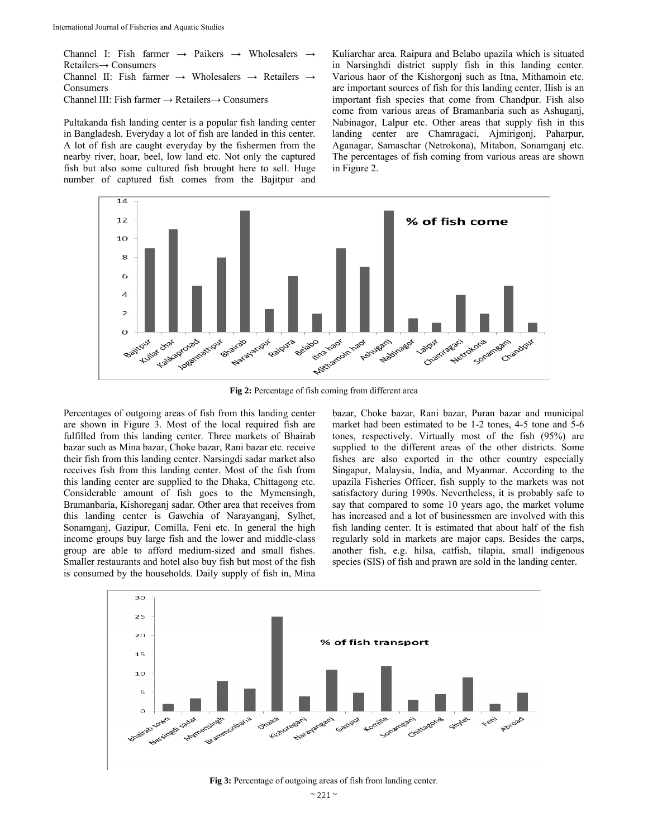Channel I: Fish farmer → Paikers → Wholesalers → Retailers→ Consumers Channel II: Fish farmer  $\rightarrow$  Wholesalers  $\rightarrow$  Retailers  $\rightarrow$ Consumers Channel III: Fish farmer → Retailers→ Consumers

Pultakanda fish landing center is a popular fish landing center in Bangladesh. Everyday a lot of fish are landed in this center. A lot of fish are caught everyday by the fishermen from the nearby river, hoar, beel, low land etc. Not only the captured fish but also some cultured fish brought here to sell. Huge number of captured fish comes from the Bajitpur and Kuliarchar area. Raipura and Belabo upazila which is situated in Narsinghdi district supply fish in this landing center. Various haor of the Kishorgonj such as Itna, Mithamoin etc. are important sources of fish for this landing center. Ilish is an important fish species that come from Chandpur. Fish also come from various areas of Bramanbaria such as Ashuganj, Nabinagor, Lalpur etc. Other areas that supply fish in this landing center are Chamragaci, Ajmirigonj, Paharpur, Aganagar, Samaschar (Netrokona), Mitabon, Sonamganj etc. The percentages of fish coming from various areas are shown in Figure 2.



**Fig 2:** Percentage of fish coming from different area

Percentages of outgoing areas of fish from this landing center are shown in Figure 3. Most of the local required fish are fulfilled from this landing center. Three markets of Bhairab bazar such as Mina bazar, Choke bazar, Rani bazar etc. receive their fish from this landing center. Narsingdi sadar market also receives fish from this landing center. Most of the fish from this landing center are supplied to the Dhaka, Chittagong etc. Considerable amount of fish goes to the Mymensingh, Bramanbaria, Kishoreganj sadar. Other area that receives from this landing center is Gawchia of Narayanganj, Sylhet, Sonamganj, Gazipur, Comilla, Feni etc. In general the high income groups buy large fish and the lower and middle-class group are able to afford medium-sized and small fishes. Smaller restaurants and hotel also buy fish but most of the fish is consumed by the households. Daily supply of fish in, Mina

bazar, Choke bazar, Rani bazar, Puran bazar and municipal market had been estimated to be 1-2 tones, 4-5 tone and 5-6 tones, respectively. Virtually most of the fish (95%) are supplied to the different areas of the other districts. Some fishes are also exported in the other country especially Singapur, Malaysia, India, and Myanmar. According to the upazila Fisheries Officer, fish supply to the markets was not satisfactory during 1990s. Nevertheless, it is probably safe to say that compared to some 10 years ago, the market volume has increased and a lot of businessmen are involved with this fish landing center. It is estimated that about half of the fish regularly sold in markets are major caps. Besides the carps, another fish, e.g. hilsa, catfish, tilapia, small indigenous species (SIS) of fish and prawn are sold in the landing center.



**Fig 3:** Percentage of outgoing areas of fish from landing center.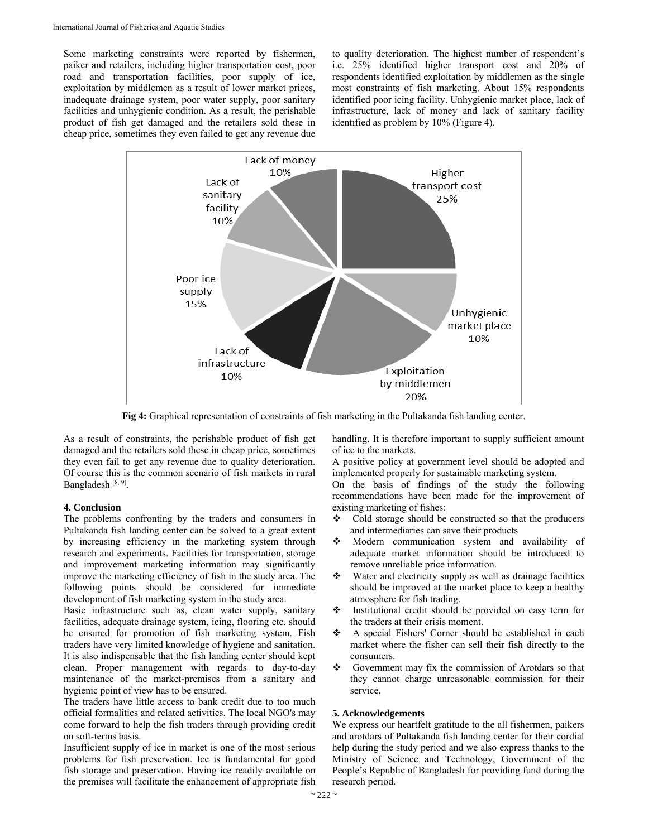Some marketing constraints were reported by fishermen, paiker and retailers, including higher transportation cost, poor road and transportation facilities, poor supply of ice, exploitation by middlemen as a result of lower market prices, inadequate drainage system, poor water supply, poor sanitary facilities and unhygienic condition. As a result, the perishable product of fish get damaged and the retailers sold these in cheap price, sometimes they even failed to get any revenue due

to quality deterioration. The highest number of respondent's i.e. 25% identified higher transport cost and 20% of respondents identified exploitation by middlemen as the single most constraints of fish marketing. About 15% respondents identified poor icing facility. Unhygienic market place, lack of infrastructure, lack of money and lack of sanitary facility identified as problem by 10% (Figure 4).



**Fig 4:** Graphical representation of constraints of fish marketing in the Pultakanda fish landing center.

As a result of constraints, the perishable product of fish get damaged and the retailers sold these in cheap price, sometimes they even fail to get any revenue due to quality deterioration. Of course this is the common scenario of fish markets in rural Bangladesh<sup>[8, 9]</sup>.

# **4. Conclusion**

The problems confronting by the traders and consumers in Pultakanda fish landing center can be solved to a great extent by increasing efficiency in the marketing system through research and experiments. Facilities for transportation, storage and improvement marketing information may significantly improve the marketing efficiency of fish in the study area. The following points should be considered for immediate development of fish marketing system in the study area.

Basic infrastructure such as, clean water supply, sanitary facilities, adequate drainage system, icing, flooring etc. should be ensured for promotion of fish marketing system. Fish traders have very limited knowledge of hygiene and sanitation. It is also indispensable that the fish landing center should kept clean. Proper management with regards to day-to-day maintenance of the market-premises from a sanitary and hygienic point of view has to be ensured.

The traders have little access to bank credit due to too much official formalities and related activities. The local NGO's may come forward to help the fish traders through providing credit on soft-terms basis.

Insufficient supply of ice in market is one of the most serious problems for fish preservation. Ice is fundamental for good fish storage and preservation. Having ice readily available on the premises will facilitate the enhancement of appropriate fish

handling. It is therefore important to supply sufficient amount of ice to the markets.

A positive policy at government level should be adopted and implemented properly for sustainable marketing system.

On the basis of findings of the study the following recommendations have been made for the improvement of existing marketing of fishes:

- Cold storage should be constructed so that the producers and intermediaries can save their products
- Modern communication system and availability of adequate market information should be introduced to remove unreliable price information.
- Water and electricity supply as well as drainage facilities should be improved at the market place to keep a healthy atmosphere for fish trading.
- Institutional credit should be provided on easy term for the traders at their crisis moment.
- A special Fishers' Corner should be established in each market where the fisher can sell their fish directly to the consumers.
- Government may fix the commission of Arotdars so that they cannot charge unreasonable commission for their service.

# **5. Acknowledgements**

We express our heartfelt gratitude to the all fishermen, paikers and arotdars of Pultakanda fish landing center for their cordial help during the study period and we also express thanks to the Ministry of Science and Technology, Government of the People's Republic of Bangladesh for providing fund during the research period.